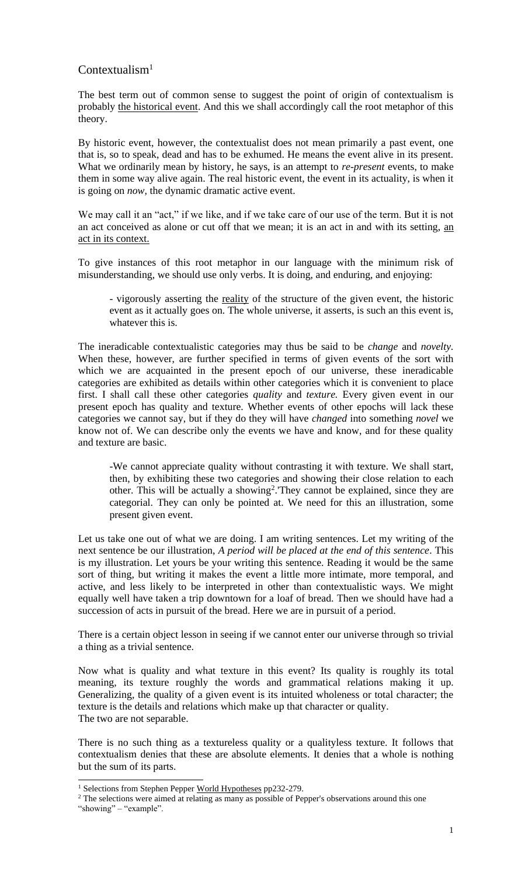## $Contextualism<sup>1</sup>$

The best term out of common sense to suggest the point of origin of contextualism is probably the historical event. And this we shall accordingly call the root metaphor of this theory.

By historic event, however, the contextualist does not mean primarily a past event, one that is, so to speak, dead and has to be exhumed. He means the event alive in its present. What we ordinarily mean by history, he says, is an attempt to *re-present* events, to make them in some way alive again. The real historic event, the event in its actuality, is when it is going on *now,* the dynamic dramatic active event.

We may call it an "act," if we like, and if we take care of our use of the term. But it is not an act conceived as alone or cut off that we mean; it is an act in and with its setting, an act in its context.

To give instances of this root metaphor in our language with the minimum risk of misunderstanding, we should use only verbs. It is doing, and enduring, and enjoying:

- vigorously asserting the reality of the structure of the given event, the historic event as it actually goes on. The whole universe, it asserts, is such an this event is, whatever this is.

The ineradicable contextualistic categories may thus be said to be *change* and *novelty.*  When these, however, are further specified in terms of given events of the sort with which we are acquainted in the present epoch of our universe, these ineradicable categories are exhibited as details within other categories which it is convenient to place first. I shall call these other categories *quality* and *texture.* Every given event in our present epoch has quality and texture. Whether events of other epochs will lack these categories we cannot say, but if they do they will have *changed* into something *novel* we know not of. We can describe only the events we have and know, and for these quality and texture are basic.

-We cannot appreciate quality without contrasting it with texture. We shall start, then, by exhibiting these two categories and showing their close relation to each other. This will be actually a showing<sup>2</sup>. They cannot be explained, since they are categorial. They can only be pointed at. We need for this an illustration, some present given event.

Let us take one out of what we are doing. I am writing sentences. Let my writing of the next sentence be our illustration, *A period will be placed at the end of this sentence*. This is my illustration. Let yours be your writing this sentence. Reading it would be the same sort of thing, but writing it makes the event a little more intimate, more temporal, and active, and less likely to be interpreted in other than contextualistic ways. We might equally well have taken a trip downtown for a loaf of bread. Then we should have had a succession of acts in pursuit of the bread. Here we are in pursuit of a period.

There is a certain object lesson in seeing if we cannot enter our universe through so trivial a thing as a trivial sentence.

Now what is quality and what texture in this event? Its quality is roughly its total meaning, its texture roughly the words and grammatical relations making it up. Generalizing, the quality of a given event is its intuited wholeness or total character; the texture is the details and relations which make up that character or quality. The two are not separable.

There is no such thing as a textureless quality or a qualityless texture. It follows that contextualism denies that these are absolute elements. It denies that a whole is nothing but the sum of its parts.

<sup>&</sup>lt;sup>1</sup> Selections from Stephen Pepper World Hypotheses pp232-279.

<sup>&</sup>lt;sup>2</sup> The selections were aimed at relating as many as possible of Pepper's observations around this one "showing" – "example".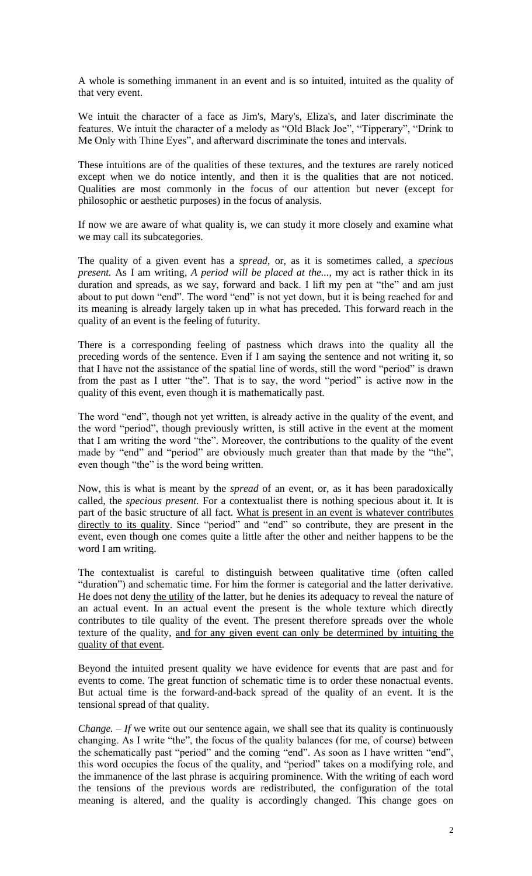A whole is something immanent in an event and is so intuited, intuited as the quality of that very event.

We intuit the character of a face as Jim's, Mary's, Eliza's, and later discriminate the features. We intuit the character of a melody as "Old Black Joe", "Tipperary", "Drink to Me Only with Thine Eyes", and afterward discriminate the tones and intervals.

These intuitions are of the qualities of these textures, and the textures are rarely noticed except when we do notice intently, and then it is the qualities that are not noticed. Qualities are most commonly in the focus of our attention but never (except for philosophic or aesthetic purposes) in the focus of analysis.

If now we are aware of what quality is, we can study it more closely and examine what we may call its subcategories.

The quality of a given event has a *spread*, or, as it is sometimes called, a *specious present.* As I am writing, *A period will be placed at the...,* my act is rather thick in its duration and spreads, as we say, forward and back. I lift my pen at "the" and am just about to put down "end". The word "end" is not yet down, but it is being reached for and its meaning is already largely taken up in what has preceded. This forward reach in the quality of an event is the feeling of futurity.

There is a corresponding feeling of pastness which draws into the quality all the preceding words of the sentence. Even if I am saying the sentence and not writing it, so that I have not the assistance of the spatial line of words, still the word "period" is drawn from the past as I utter "the". That is to say, the word "period" is active now in the quality of this event, even though it is mathematically past.

The word "end", though not yet written, is already active in the quality of the event, and the word "period", though previously written, is still active in the event at the moment that I am writing the word "the". Moreover, the contributions to the quality of the event made by "end" and "period" are obviously much greater than that made by the "the", even though "the" is the word being written.

Now, this is what is meant by the *spread* of an event, or, as it has been paradoxically called, the *specious present.* For a contextualist there is nothing specious about it. It is part of the basic structure of all fact. What is present in an event is whatever contributes directly to its quality. Since "period" and "end" so contribute, they are present in the event, even though one comes quite a little after the other and neither happens to be the word I am writing.

The contextualist is careful to distinguish between qualitative time (often called "duration") and schematic time. For him the former is categorial and the latter derivative. He does not deny the utility of the latter, but he denies its adequacy to reveal the nature of an actual event. In an actual event the present is the whole texture which directly contributes to tile quality of the event. The present therefore spreads over the whole texture of the quality, and for any given event can only be determined by intuiting the quality of that event.

Beyond the intuited present quality we have evidence for events that are past and for events to come. The great function of schematic time is to order these nonactual events. But actual time is the forward-and-back spread of the quality of an event. It is the tensional spread of that quality.

*Change. – If* we write out our sentence again, we shall see that its quality is continuously changing. As I write "the", the focus of the quality balances (for me, of course) between the schematically past "period" and the coming "end". As soon as I have written "end", this word occupies the focus of the quality, and "period" takes on a modifying role, and the immanence of the last phrase is acquiring prominence. With the writing of each word the tensions of the previous words are redistributed, the configuration of the total meaning is altered, and the quality is accordingly changed. This change goes on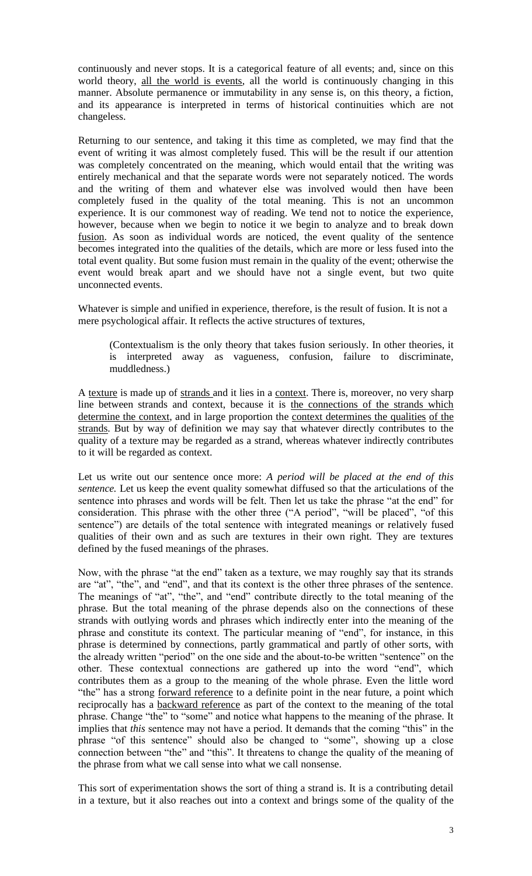continuously and never stops. It is a categorical feature of all events; and, since on this world theory, all the world is events, all the world is continuously changing in this manner. Absolute permanence or immutability in any sense is, on this theory, a fiction, and its appearance is interpreted in terms of historical continuities which are not changeless.

Returning to our sentence, and taking it this time as completed, we may find that the event of writing it was almost completely fused. This will be the result if our attention was completely concentrated on the meaning, which would entail that the writing was entirely mechanical and that the separate words were not separately noticed. The words and the writing of them and whatever else was involved would then have been completely fused in the quality of the total meaning. This is not an uncommon experience. It is our commonest way of reading. We tend not to notice the experience, however, because when we begin to notice it we begin to analyze and to break down fusion. As soon as individual words are noticed, the event quality of the sentence becomes integrated into the qualities of the details, which are more or less fused into the total event quality. But some fusion must remain in the quality of the event; otherwise the event would break apart and we should have not a single event, but two quite unconnected events.

Whatever is simple and unified in experience, therefore, is the result of fusion. It is not a mere psychological affair. It reflects the active structures of textures,

(Contextualism is the only theory that takes fusion seriously. In other theories, it is interpreted away as vagueness, confusion, failure to discriminate, muddledness.)

A texture is made up of strands and it lies in a context. There is, moreover, no very sharp line between strands and context, because it is the connections of the strands which determine the context, and in large proportion the context determines the qualities of the strands. But by way of definition we may say that whatever directly contributes to the quality of a texture may be regarded as a strand, whereas whatever indirectly contributes to it will be regarded as context.

Let us write out our sentence once more: *A period will be placed at the end of this sentence.* Let us keep the event quality somewhat diffused so that the articulations of the sentence into phrases and words will be felt. Then let us take the phrase "at the end" for consideration. This phrase with the other three ("A period", "will be placed", "of this sentence") are details of the total sentence with integrated meanings or relatively fused qualities of their own and as such are textures in their own right. They are textures defined by the fused meanings of the phrases.

Now, with the phrase "at the end" taken as a texture, we may roughly say that its strands are "at", "the", and "end", and that its context is the other three phrases of the sentence. The meanings of "at", "the", and "end" contribute directly to the total meaning of the phrase. But the total meaning of the phrase depends also on the connections of these strands with outlying words and phrases which indirectly enter into the meaning of the phrase and constitute its context. The particular meaning of "end", for instance, in this phrase is determined by connections, partly grammatical and partly of other sorts, with the already written "period" on the one side and the about-to-be written "sentence" on the other. These contextual connections are gathered up into the word "end", which contributes them as a group to the meaning of the whole phrase. Even the little word "the" has a strong forward reference to a definite point in the near future, a point which reciprocally has a backward reference as part of the context to the meaning of the total phrase. Change "the" to "some" and notice what happens to the meaning of the phrase. It implies that *this* sentence may not have a period. It demands that the coming "this" in the phrase "of this sentence" should also be changed to "some", showing up a close connection between "the" and "this". It threatens to change the quality of the meaning of the phrase from what we call sense into what we call nonsense.

This sort of experimentation shows the sort of thing a strand is. It is a contributing detail in a texture, but it also reaches out into a context and brings some of the quality of the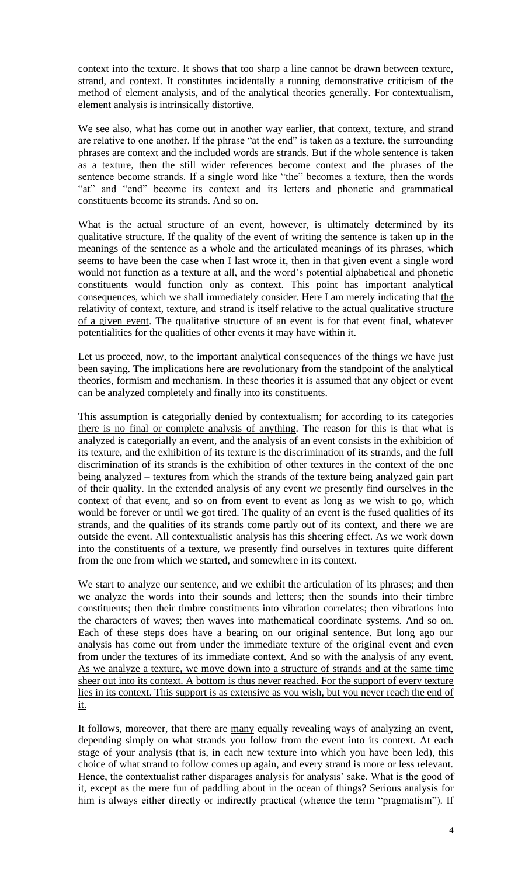context into the texture. It shows that too sharp a line cannot be drawn between texture, strand, and context. It constitutes incidentally a running demonstrative criticism of the method of element analysis, and of the analytical theories generally. For contextualism, element analysis is intrinsically distortive.

We see also, what has come out in another way earlier, that context, texture, and strand are relative to one another. If the phrase "at the end" is taken as a texture, the surrounding phrases are context and the included words are strands. But if the whole sentence is taken as a texture, then the still wider references become context and the phrases of the sentence become strands. If a single word like "the" becomes a texture, then the words "at" and "end" become its context and its letters and phonetic and grammatical constituents become its strands. And so on.

What is the actual structure of an event, however, is ultimately determined by its qualitative structure. If the quality of the event of writing the sentence is taken up in the meanings of the sentence as a whole and the articulated meanings of its phrases, which seems to have been the case when I last wrote it, then in that given event a single word would not function as a texture at all, and the word's potential alphabetical and phonetic constituents would function only as context. This point has important analytical consequences, which we shall immediately consider. Here I am merely indicating that the relativity of context, texture, and strand is itself relative to the actual qualitative structure of a given event. The qualitative structure of an event is for that event final, whatever potentialities for the qualities of other events it may have within it.

Let us proceed, now, to the important analytical consequences of the things we have just been saying. The implications here are revolutionary from the standpoint of the analytical theories, formism and mechanism. In these theories it is assumed that any object or event can be analyzed completely and finally into its constituents.

This assumption is categorially denied by contextualism; for according to its categories there is no final or complete analysis of anything. The reason for this is that what is analyzed is categorially an event, and the analysis of an event consists in the exhibition of its texture, and the exhibition of its texture is the discrimination of its strands, and the full discrimination of its strands is the exhibition of other textures in the context of the one being analyzed – textures from which the strands of the texture being analyzed gain part of their quality. In the extended analysis of any event we presently find ourselves in the context of that event, and so on from event to event as long as we wish to go, which would be forever or until we got tired. The quality of an event is the fused qualities of its strands, and the qualities of its strands come partly out of its context, and there we are outside the event. All contextualistic analysis has this sheering effect. As we work down into the constituents of a texture, we presently find ourselves in textures quite different from the one from which we started, and somewhere in its context.

We start to analyze our sentence, and we exhibit the articulation of its phrases; and then we analyze the words into their sounds and letters; then the sounds into their timbre constituents; then their timbre constituents into vibration correlates; then vibrations into the characters of waves; then waves into mathematical coordinate systems. And so on. Each of these steps does have a bearing on our original sentence. But long ago our analysis has come out from under the immediate texture of the original event and even from under the textures of its immediate context. And so with the analysis of any event. As we analyze a texture, we move down into a structure of strands and at the same time sheer out into its context. A bottom is thus never reached. For the support of every texture lies in its context. This support is as extensive as you wish, but you never reach the end of it.

It follows, moreover, that there are many equally revealing ways of analyzing an event, depending simply on what strands you follow from the event into its context. At each stage of your analysis (that is, in each new texture into which you have been led), this choice of what strand to follow comes up again, and every strand is more or less relevant. Hence, the contextualist rather disparages analysis for analysis' sake. What is the good of it, except as the mere fun of paddling about in the ocean of things? Serious analysis for him is always either directly or indirectly practical (whence the term "pragmatism"). If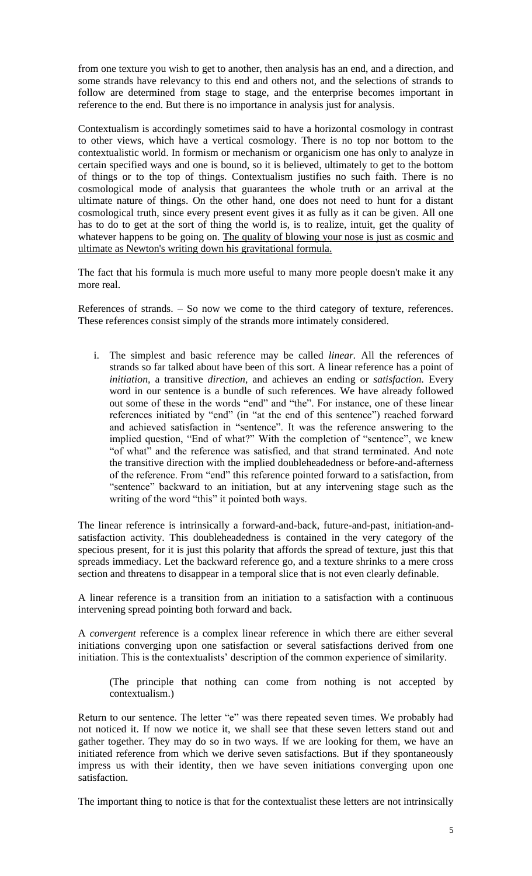from one texture you wish to get to another, then analysis has an end, and a direction, and some strands have relevancy to this end and others not, and the selections of strands to follow are determined from stage to stage, and the enterprise becomes important in reference to the end. But there is no importance in analysis just for analysis.

Contextualism is accordingly sometimes said to have a horizontal cosmology in contrast to other views, which have a vertical cosmology. There is no top nor bottom to the contextualistic world. In formism or mechanism or organicism one has only to analyze in certain specified ways and one is bound, so it is believed, ultimately to get to the bottom of things or to the top of things. Contextualism justifies no such faith. There is no cosmological mode of analysis that guarantees the whole truth or an arrival at the ultimate nature of things. On the other hand, one does not need to hunt for a distant cosmological truth, since every present event gives it as fully as it can be given. All one has to do to get at the sort of thing the world is, is to realize, intuit, get the quality of whatever happens to be going on. The quality of blowing your nose is just as cosmic and ultimate as Newton's writing down his gravitational formula.

The fact that his formula is much more useful to many more people doesn't make it any more real.

References of strands. – So now we come to the third category of texture, references. These references consist simply of the strands more intimately considered.

i. The simplest and basic reference may be called *linear.* All the references of strands so far talked about have been of this sort. A linear reference has a point of *initiation,* a transitive *direction,* and achieves an ending or *satisfaction.* Every word in our sentence is a bundle of such references. We have already followed out some of these in the words "end" and "the". For instance, one of these linear references initiated by "end" (in "at the end of this sentence") reached forward and achieved satisfaction in "sentence". It was the reference answering to the implied question, "End of what?" With the completion of "sentence", we knew "of what" and the reference was satisfied, and that strand terminated. And note the transitive direction with the implied doubleheadedness or before-and-afterness of the reference. From "end" this reference pointed forward to a satisfaction, from "sentence" backward to an initiation, but at any intervening stage such as the writing of the word "this" it pointed both ways.

The linear reference is intrinsically a forward-and-back, future-and-past, initiation-andsatisfaction activity. This doubleheadedness is contained in the very category of the specious present, for it is just this polarity that affords the spread of texture, just this that spreads immediacy. Let the backward reference go, and a texture shrinks to a mere cross section and threatens to disappear in a temporal slice that is not even clearly definable.

A linear reference is a transition from an initiation to a satisfaction with a continuous intervening spread pointing both forward and back.

A *convergent* reference is a complex linear reference in which there are either several initiations converging upon one satisfaction or several satisfactions derived from one initiation. This is the contextualists' description of the common experience of similarity.

(The principle that nothing can come from nothing is not accepted by contextualism.)

Return to our sentence. The letter "e" was there repeated seven times. We probably had not noticed it. If now we notice it, we shall see that these seven letters stand out and gather together. They may do so in two ways. If we are looking for them, we have an initiated reference from which we derive seven satisfactions. But if they spontaneously impress us with their identity, then we have seven initiations converging upon one satisfaction.

The important thing to notice is that for the contextualist these letters are not intrinsically